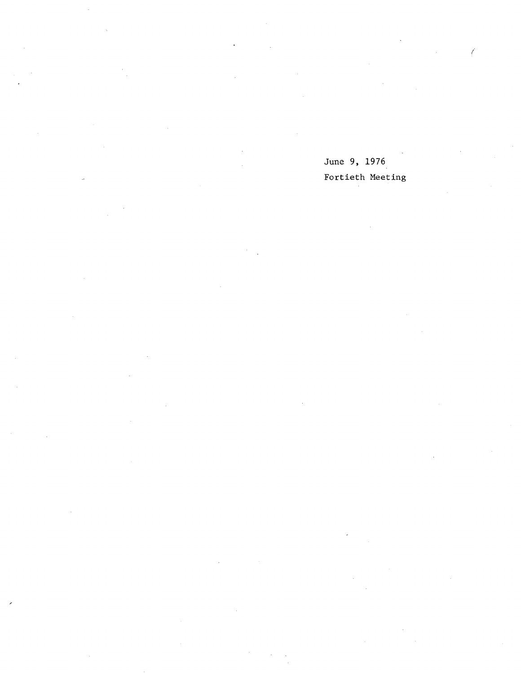June 9, 1976 Fortieth Meeting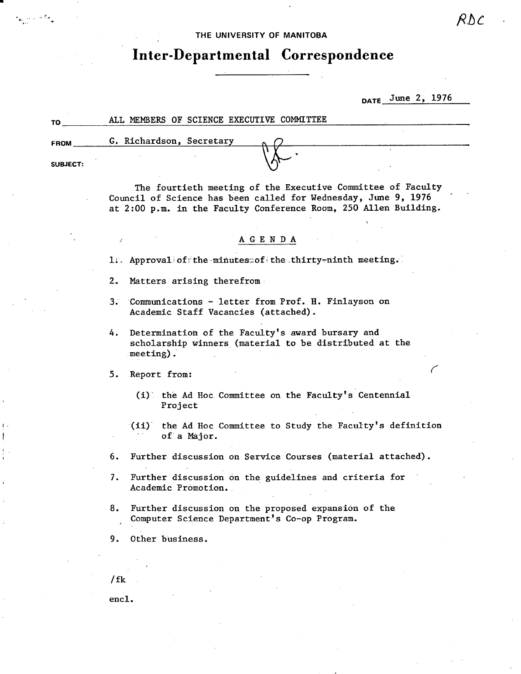THE UNIVERSITY **OF MANITOBA** 

# **Inter-Departmental Correspondence**

DATE June 2, 1976

| TΟ              | ALL MEMBERS OF SCIENCE EXECUTIVE COMMITTEE                       |  |
|-----------------|------------------------------------------------------------------|--|
| <b>FROM</b>     | G. Richardson, Secretary                                         |  |
|                 |                                                                  |  |
| <b>SUBJECT:</b> |                                                                  |  |
|                 | The fourtieth meeting of the Executive Committee of Faculty<br>. |  |

Council of Science has been called for Wednesday, June 9, 1976 at 2:00 p.m. in the Faculty Conference Room, 250 Allen Building.

## AGENDA

1. Approval of the minutess of the thirty-ninth meeting.

2.. Matters arising therefrom.

- 3 Communications letter from Prof. H. Finlayson on Academic Staff Vacancies (attached).
- Determination of the Faculty's award bursary and 4. scholarship winners (material to be distributed at the meeting). .

5. Report from:

I

(1). the Ad Hoc Committee on the Faculty's Centennial Project

(ii) the Ad Hoc Committee to Study the Faculty's definition of a Major.

6. Further discussion on Service Courses (material attached).

- $7.$ Further discussion on the guidelines and criteria for Academic PrOmotion.
- 8. Further discussion on the proposed expansion of the Computer Science Department's Co-op Program.

9. Other business.

/ fk

enc1.

RNC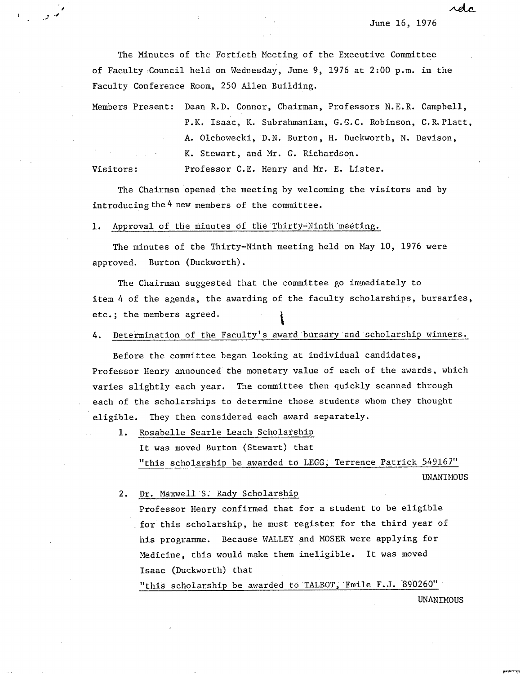June 16, 1976

rdc

The Minutes of the Fortieth Meeting of the Executive Committee of Faculty :Council held on Wednesday, June. 9, 1976 at 2:00 p.m. in the Faculty Conference Room, 250 Allen Building.

Members Present: Dean R.D. Connor, Chairman, Professors N.E.R. Campbell, P.K. Isaac, K. Subrahmaniam, G.G.C. Robinson, C.R.Platt, A. Olchowecki, D.N. Burton, H. Duckworth, N. Davison, K. Stewart, and Mr. G. Richardson. Visitors: Professor C.E. Henry and Mr. E. Lister.

The Chairman opened the meeting by welcoming the visitors and by

introducing the 4 new members of the committee.

1. Approval of the minutes of the Thirty-Ninth meeting.

/

The minutes of the Thirty-Ninth meeting held on May 10, 1976 were approved. Burton (Duckworth).

The Chairman suggested that the committee go immediately to item 4 of the agenda, the awarding of the faculty scholarships, bursaries,  $etc.;$  the members agreed.

4. Determination of the Faculty's award bursary and scholarship winners.

Before the committee began looking at individual candidates, Professor Henry announced the monetary value of each of the awards, which varies slightly each year. The committee then quickly scanned through each of the scholarships to determine those students whom they thought eligible. They then considered each award separately.

1. Rosabelle Searle Leach Scholarship It was moved Burton (Stewart) that "this scholarship be awarded to LEGG, Terrence Patrick 549167"

UNANIMOUS

Dr. Maxwell S. Rady Scholarship

Professor Henry confirmed that for a student to be eligible for this scholarship, he must register for the third year of his programme. Because WALLEY and MOSER were applying for Medicine, this would make them ineligible. It was moved Isaac (Duckworth) that

"this scholarship be awarded to TALBOT, Emile F.J. 890260"

UNANIMOUS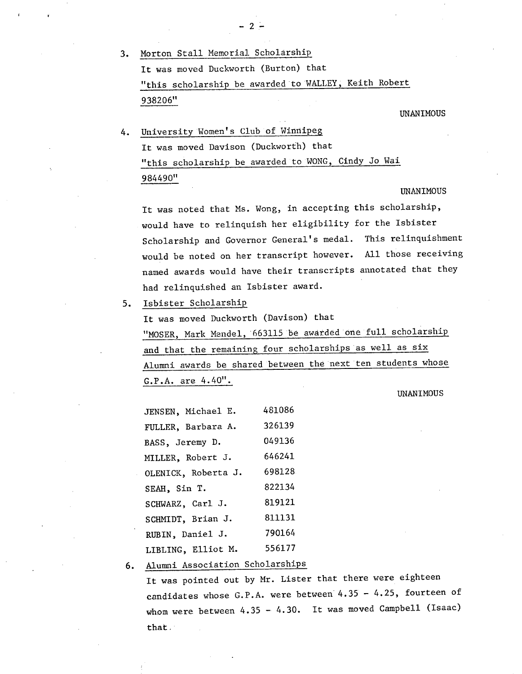3. Morton Stall Memorial Scholarship It was moved Duckworth (Burton) that "this scholarship be awarded to WALLEY, Keith Robert 938206"

-2-

UNANIMOUS

University Women's Club of Winnipeg It was moved Davison (Duckworth) that "this scholarship be awarded to WONG, Cindy Jo Wai 984490"

#### UNANIMOUS

It was noted that Ms. Wong, in accepting this scholarship, would have to relinquish her eligibility for the Isbister Scholarship and Governor General's medal. This relinquishment would be noted on her transcript however. All those receiving named awards would have their transcripts annotated that they had relinquished an Isbister award.

5. Isbister Scholarship

It was moved Duckworth (Davison) that "MOSER, Mark Mendel, 663115 be awarded one full scholarship and that the remaining four scholarships as well as six Alumni awards be shared between the next ten students whose G.P.A. are 4.40".

### UNANIMOUS

| JENSEN, Michael E.  | 481086 |
|---------------------|--------|
| FULLER, Barbara A.  | 326139 |
| BASS, Jeremy D.     | 049136 |
| MILLER, Robert J.   | 646241 |
| OLENICK, Roberta J. | 698128 |
| SEAH, Sin T.        | 822134 |
| SCHWARZ, Carl J.    | 819121 |
| SCHMIDT, Brian J.   | 811131 |
| RUBIN, Daniel J.    | 790164 |
| LIBLING, Elliot M.  | 556177 |
|                     |        |

Alumni Association Scholarships  $6.$ 

It was pointed out by Mr. Lister that there were eighteen candidates whose G.P.A. were between 4.35 - 4.25, fourteen of whom were between 4.35 - 4.30. It was moved Campbell (Isaac) that.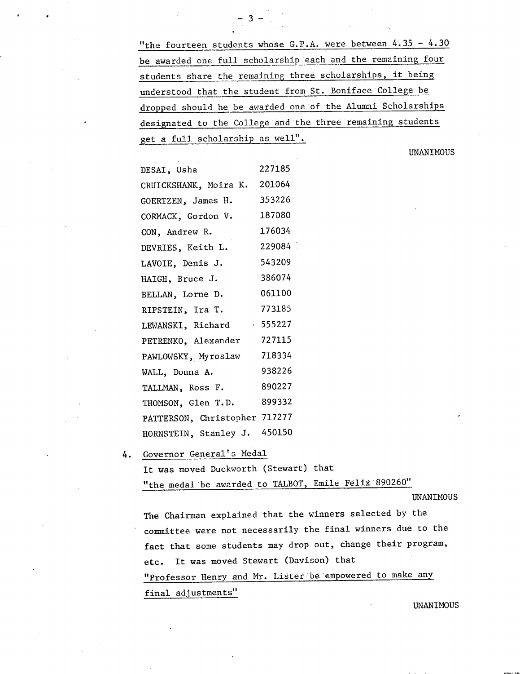"the fourteen students whose G.P.A. were between 4.35 - 4.30 be awarded one full scholarship each and the remaining four students share the remaining three scholarships, it being understood that the student from St. Boniface College be dropped should he be awarded one of the AlUmni Scholarships designated to the College and the three remaining students et a full, scholarship as well".

 $-3 -$ 

UNANIMOUS

| DESAI, Usha                   | 227185  |
|-------------------------------|---------|
| CRUICKSHANK, Moira K.         | 201064  |
| GOERTZEN, James H.            | 353226  |
| CORMACK, Gordon V.            | 187080  |
| CON, Andrew R.                | 176034  |
| DEVRIES, Keith L.             | 229084  |
| LAVOIE, Denis J.              | 543209  |
| HAIGH, Bruce J.               | 386074  |
| BELLAN, Lorne D.              | 061100  |
| RIPSTEIN, Ira T.              | 773185  |
| LEWANSKI, Richard             | .555227 |
| PETRENKO, Alexander           | 727115  |
| PAWLOWSKY, Myroslaw           | 718334  |
| WALL, Donna A.                | 938226  |
| TALLMAN, Ross F.              | 890227  |
| THOMSON, Glen T.D.            | 899332  |
| PATTERSON, Christopher 717277 |         |
| HORNSTEIN, Stanley J.         | 450150  |
|                               |         |

4. Governor General's Medal

It was moved Duckworth (Stewart) that

"the medal be awarded to TALBOT, Emile Fe1ix 890260"

UNANIMOUS

The Chairman explained that the winners selected by the committee were not necessarily the final winners due to the fact that some students may drop out, change their program, etc. It was moved Stewart (Davison) that "Professor Henry and Mr. Lister be empowered to make any final adjustments"

UNANIMOUS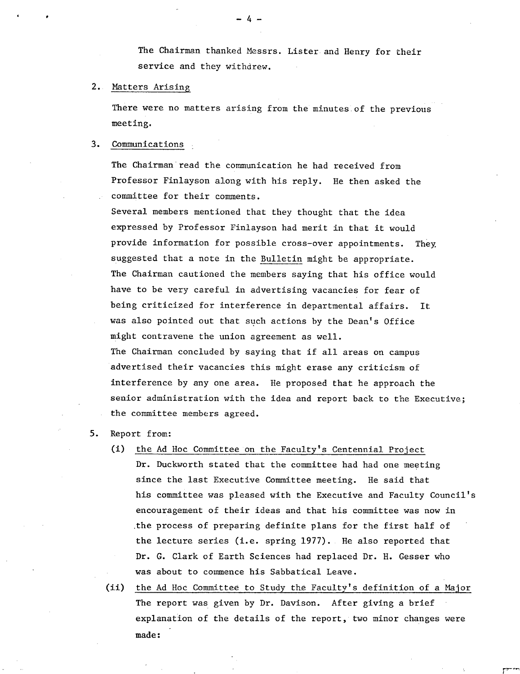The Chairman thanked Messrs. Lister. and Henry for their service and they withdrew.

# 2. Matters Arising

There were no matters arising from the minutes of the previous meeting.

#### $3.$ Communications

The Chairman read the communication he had received from Professor Finlayson along with his reply. He then asked the committee for their comments.

Several members mentioned that they thought that the idea expressed by Professor Finlayson had merit in that it would provide information for possible cross-over appointments. They suggested that a note in the Bulletin might be appropriate. The Chairman cautioned the members saying that his office would have to be very careful in advertising vacancies for fear of being criticized for interference in departmental affairs. It was also pointed out that such actions by the Dean's Office might contravene the union agreement as well. The Chairman concluded by saying that if all areas on campus advertised their vacancies this might erase any criticism of interference by any one area. He proposed that he approach the senior administration with the idea and report back to the Executive; the committee members agreed.

# 5. Report from:

- (1) the Ad Hoc Committee on the Faculty's Centennial Project Dr. Duckworth stated that the committee had had one meeting since the last Executive Committee meeting. He said that his committee was pleased with the Executive and Faculty Council's encouragement of their ideas and that his committee was now in the process of preparing definite plans for the first half of the lecture series (i.e. spring 1977). He also reported that Dr. G. Clark of Earth Sciences had replaced Dr. H. Gesser who was about to commence his Sabbatical Leave.
- (ii) the Ad Hoc Committee to Study the Faculty's definition of a Major The report was given by Dr. Davison. After giving a brief explanation of the details of the report, two minor changes were made:

-4-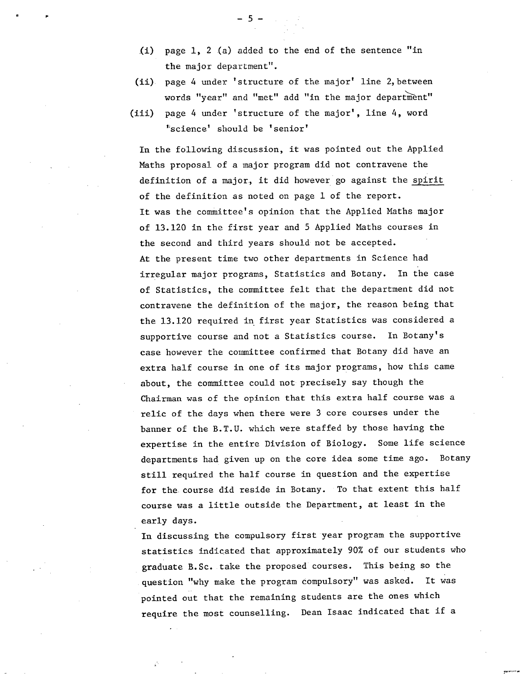- $(i)$  page 1, 2 (a) added to the end of the sentence "in the major department".
- (ii). page 4 under 'structure of the major' line 2, between words "year" and "met" add "in the major department"
- (iii) page 4 under 'structure of the major', line 4, word 'science' should be 'senior'

In the following discussion, it was pointed out the Applied Maths proposal of a major program did not contravene the definition of a major., it did however go against the spirit of the definition as noted on page 1 of the report. It was the committee's opinion that the Applied Maths major of 13.120 in the first year and 5 Applied Maths courses in the second and third years should not be accepted. At the present time two other departments in Science had irregular major programs, Statistics and Botany. In the case of Statistics, the committee felt that the department did not contravene the definition of the major, the reason being that the 13.120 required in first year Statistics was considered a supportive course and not a Statistics course. In Botany's case however the committee confirmed that Botany did have an extra half course in one of its major programs, how this came about, the committee could not precisely say though the Chairman was of the opinion that this extra half course was a relic of the days when there were 3 core courses under the banner of the B.T.U. which were staffed by those having the expertise in the entire Division of Biology. Some life science departments had given up on the core idea some time ago. Botany still required the half course in question and the expertise for the course did reside in Botany. To that extent this half course was a little outside the Department, at least in the early days.

In discussing the compulsory first year program the supportive statistics indicated that approximately 90% of our students who graduate B.Sc. take the proposed courses. This being so the question "why make the program compulsory" was asked. It was pointed out that the remaining students are the ones which require the most counselling. Dean Isaac indicated that if a

 $-5 -$